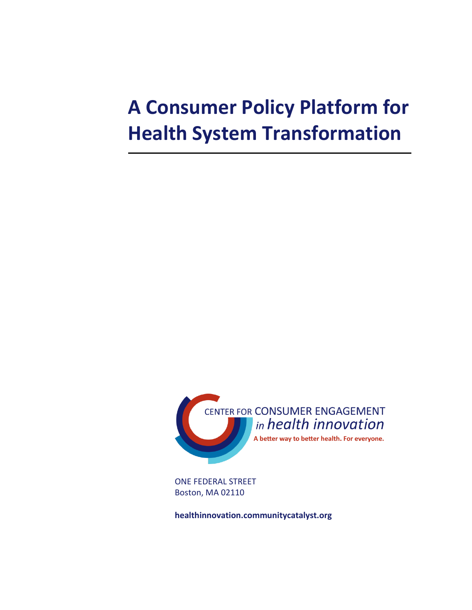# **A Consumer Policy Platform for Health System Transformation**



ONE FEDERAL STREET Boston, MA 02110

**healthinnovation.communitycatalyst.org**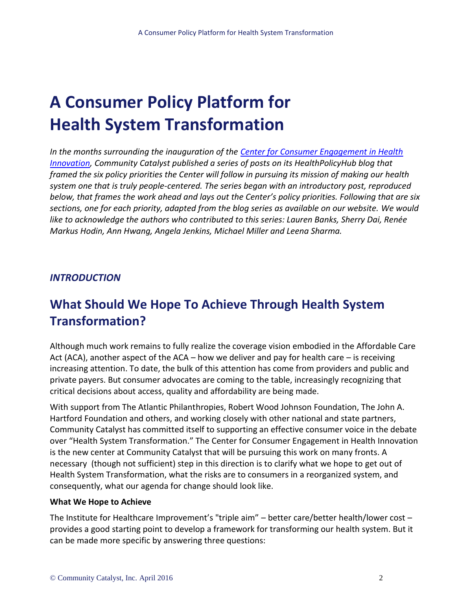## **A Consumer Policy Platform for Health System Transformation**

*In the months surrounding the inauguration of the [Center for Consumer Engagement in Health](http://healthinnovation.communitycatalyst.org/)  [Innovation,](http://healthinnovation.communitycatalyst.org/) Community Catalyst published a series of posts on its HealthPolicyHub blog that framed the six policy priorities the Center will follow in pursuing its mission of making our health system one that is truly people-centered. The series began with an introductory post, reproduced below, that frames the work ahead and lays out the Center's policy priorities. Following that are six sections, one for each priority, adapted from the blog series as available on our website. We would like to acknowledge the authors who contributed to this series: Lauren Banks, Sherry Dai, Renée Markus Hodin, Ann Hwang, Angela Jenkins, Michael Miller and Leena Sharma.*

## *INTRODUCTION*

## **What Should We Hope To Achieve Through Health System Transformation?**

Although much work remains to fully realize the coverage vision embodied in the Affordable Care Act (ACA), another aspect of the ACA – how we deliver and pay for health care – is receiving increasing attention. To date, the bulk of this attention has come from providers and public and private payers. But consumer advocates are coming to the table, increasingly recognizing that critical decisions about access, quality and affordability are being made.

With support from The Atlantic Philanthropies, Robert Wood Johnson Foundation, The John A. Hartford Foundation and others, and working closely with other national and state partners, Community Catalyst has committed itself to supporting an effective consumer voice in the debate over "Health System Transformation." The Center for Consumer Engagement in Health Innovation is the new center at Community Catalyst that will be pursuing this work on many fronts. A necessary (though not sufficient) step in this direction is to clarify what we hope to get out of Health System Transformation, what the risks are to consumers in a reorganized system, and consequently, what our agenda for change should look like.

### **What We Hope to Achieve**

The Institute for Healthcare Improvement's "triple aim" – better care/better health/lower cost – provides a good starting point to develop a framework for transforming our health system. But it can be made more specific by answering three questions: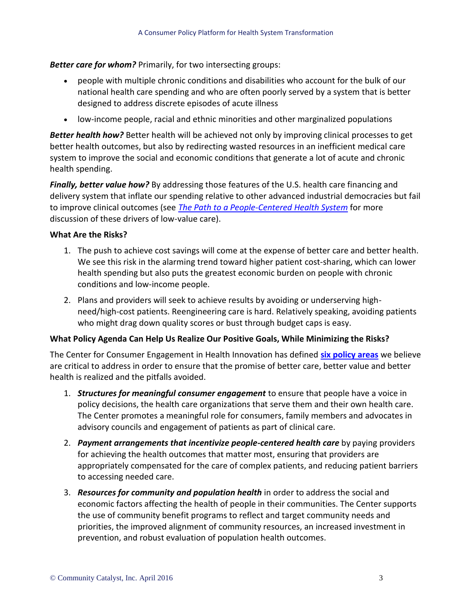*Better care for whom?* Primarily, for two intersecting groups:

- people with multiple chronic conditions and disabilities who account for the bulk of our national health care spending and who are often poorly served by a system that is better designed to address discrete episodes of acute illness
- low-income people, racial and ethnic minorities and other marginalized populations

**Better health how?** Better health will be achieved not only by improving clinical processes to get better health outcomes, but also by redirecting wasted resources in an inefficient medical care system to improve the social and economic conditions that generate a lot of acute and chronic health spending.

*Finally, better value how?* By addressing those features of the U.S. health care financing and delivery system that inflate our spending relative to other advanced industrial democracies but fail to improve clinical outcomes (see *[The Path to a People-Centered](http://www.communitycatalyst.org/resources/publications/the-path-to-a-people-centered-health-system-next-generation-consumer-health-advocacy) Health System* for more discussion of these drivers of low-value care).

## **What Are the Risks?**

- 1. The push to achieve cost savings will come at the expense of better care and better health. We see this risk in the alarming trend toward higher patient cost-sharing, which can lower health spending but also puts the greatest economic burden on people with chronic conditions and low-income people.
- 2. Plans and providers will seek to achieve results by avoiding or underserving highneed/high-cost patients. Reengineering care is hard. Relatively speaking, avoiding patients who might drag down quality scores or bust through budget caps is easy.

## **What Policy Agenda Can Help Us Realize Our Positive Goals, While Minimizing the Risks?**

The Center for Consumer Engagement in Health Innovation has defined **[six policy areas](http://www.communitycatalyst.org/initiatives-and-issues/initiatives/center-for-consumer-engagement-in-health-innovation/CCEHI-Policy-Priorities-updated-2.2.16.pdf)** we believe are critical to address in order to ensure that the promise of better care, better value and better health is realized and the pitfalls avoided.

- 1. *Structures for meaningful consumer engagement* to ensure that people have a voice in policy decisions, the health care organizations that serve them and their own health care. The Center promotes a meaningful role for consumers, family members and advocates in advisory councils and engagement of patients as part of clinical care.
- 2. *Payment arrangements that incentivize people-centered health care* by paying providers for achieving the health outcomes that matter most, ensuring that providers are appropriately compensated for the care of complex patients, and reducing patient barriers to accessing needed care.
- 3. *Resources for community and population health* in order to address the social and economic factors affecting the health of people in their communities. The Center supports the use of community benefit programs to reflect and target community needs and priorities, the improved alignment of community resources, an increased investment in prevention, and robust evaluation of population health outcomes.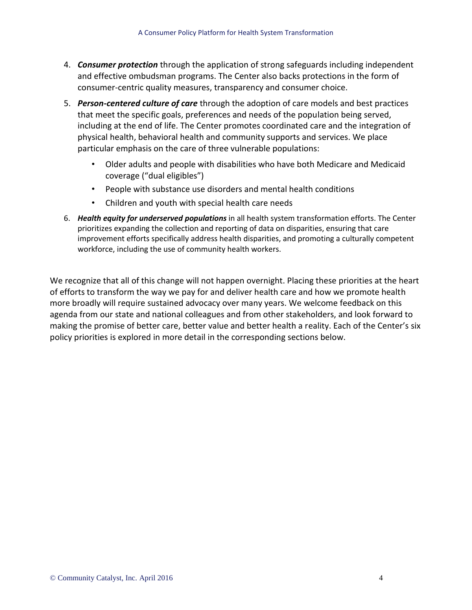- 4. *Consumer protection* through the application of strong safeguards including independent and effective ombudsman programs. The Center also backs protections in the form of consumer-centric quality measures, transparency and consumer choice.
- 5. *Person-centered culture of care* through the adoption of care models and best practices that meet the specific goals, preferences and needs of the population being served, including at the end of life. The Center promotes coordinated care and the integration of physical health, behavioral health and community supports and services. We place particular emphasis on the care of three vulnerable populations:
	- Older adults and people with disabilities who have both Medicare and Medicaid coverage ("dual eligibles")
	- People with substance use disorders and mental health conditions
	- Children and youth with special health care needs
- 6. *Health equity for underserved populations* in all health system transformation efforts. The Center prioritizes expanding the collection and reporting of data on disparities, ensuring that care improvement efforts specifically address health disparities, and promoting a culturally competent workforce, including the use of community health workers.

We recognize that all of this change will not happen overnight. Placing these priorities at the heart of efforts to transform the way we pay for and deliver health care and how we promote health more broadly will require sustained advocacy over many years. We welcome feedback on this agenda from our state and national colleagues and from other stakeholders, and look forward to making the promise of better care, better value and better health a reality. Each of the Center's six policy priorities is explored in more detail in the corresponding sections below.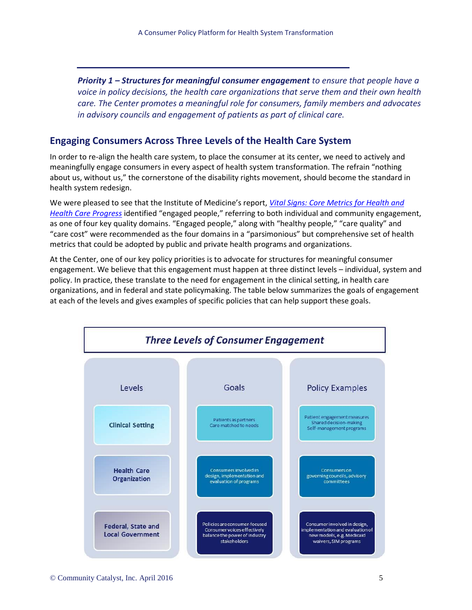*Priority 1 – Structures for meaningful consumer engagement to ensure that people have a voice in policy decisions, the health care organizations that serve them and their own health care. The Center promotes a meaningful role for consumers, family members and advocates in advisory councils and engagement of patients as part of clinical care.*

## **Engaging Consumers Across Three Levels of the Health Care System**

In order to re-align the health care system, to place the consumer at its center, we need to actively and meaningfully engage consumers in every aspect of health system transformation. The refrain "nothing about us, without us," the cornerstone of the disability rights movement, should become the standard in health system redesign.

We were pleased to see that the Institute of Medicine's report, *[Vital Signs: Core Metrics for Health and](http://iom.nationalacademies.org/Reports/2015/Vital-Signs-Core-Metrics.aspx)  [Health Care Progress](http://iom.nationalacademies.org/Reports/2015/Vital-Signs-Core-Metrics.aspx)* identified "engaged people," referring to both individual and community engagement, as one of four key quality domains. "Engaged people," along with "healthy people," "care quality" and "care cost" were recommended as the four domains in a "parsimonious" but comprehensive set of health metrics that could be adopted by public and private health programs and organizations.

At the Center, one of our key policy priorities is to advocate for structures for meaningful consumer engagement. We believe that this engagement must happen at three distinct levels – individual, system and policy. In practice, these translate to the need for engagement in the clinical setting, in health care organizations, and in federal and state policymaking. The table below summarizes the goals of engagement at each of the levels and gives examples of specific policies that can help support these goals.

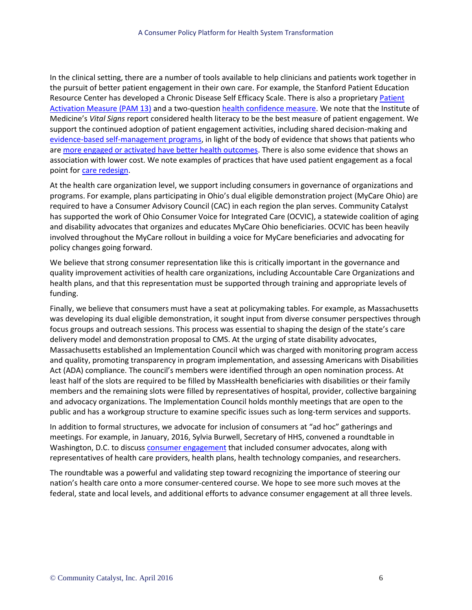In the clinical setting, there are a number of tools available to help clinicians and patients work together in the pursuit of better patient engagement in their own care. For example, the Stanford Patient Education Resource Center has developed a Chronic Disease Self Efficacy Scale. There is also a proprietar[y Patient](http://www.insigniahealth.com/products/pam-survey)  [Activation Measure \(PAM 13\)](http://www.insigniahealth.com/products/pam-survey) and a two-question health [confidence measure.](https://www.howsyourhealth.org/) We note that the Institute of Medicine's *Vital Signs* report considered health literacy to be the best measure of patient engagement. We support the continued adoption of patient engagement activities, including shared decision-making and [evidence-based self-management programs,](http://www.communitycatalyst.org/initiatives-and-issues/initiatives/voices-for-better-health/dual-agenda-newsletter/the-dual-agenda-august-20-2014/eldercare-voices) in light of the body of evidence that shows that patients who are [more engaged or activated have better health outcomes.](http://content.healthaffairs.org/content/32/2/207.abstract) There is also some evidence that shows an association with lower cost. We note examples of practices that have used patient engagement as a focal point for [care redesign.](http://healthforce.ucsf.edu/sites/healthforce.ucsf.edu/files/publication-pdf/10.1%202011_05_PeaceHealth%27s_Team%20Fillingame_Uses_Patient_Activation_Measures_to_Customize_the_Medical_Home.pdf)

At the health care organization level, we support including consumers in governance of organizations and programs. For example, plans participating in Ohio's dual eligible demonstration project (MyCare Ohio) are required to have a Consumer Advisory Council (CAC) in each region the plan serves. Community Catalyst has supported the work of Ohio Consumer Voice for Integrated Care (OCVIC), a statewide coalition of aging and disability advocates that organizes and educates MyCare Ohio beneficiaries. OCVIC has been heavily involved throughout the MyCare rollout in building a voice for MyCare beneficiaries and advocating for policy changes going forward.

We believe that strong consumer representation like this is critically important in the governance and quality improvement activities of health care organizations, including Accountable Care Organizations and health plans, and that this representation must be supported through training and appropriate levels of funding.

Finally, we believe that consumers must have a seat at policymaking tables. For example, as Massachusetts was developing its dual eligible demonstration, it sought input from diverse consumer perspectives through focus groups and outreach sessions. This process was essential to shaping the design of the state's care delivery model and demonstration proposal to CMS. At the urging of state disability advocates, Massachusetts established an Implementation Council which was charged with monitoring program access and quality, promoting transparency in program implementation, and assessing Americans with Disabilities Act (ADA) compliance. The council's members were identified through an open nomination process. At least half of the slots are required to be filled by MassHealth beneficiaries with disabilities or their family members and the remaining slots were filled by representatives of hospital, provider, collective bargaining and advocacy organizations. The Implementation Council holds monthly meetings that are open to the public and has a workgroup structure to examine specific issues such as long-term services and supports.

In addition to formal structures, we advocate for inclusion of consumers at "ad hoc" gatherings and meetings. For example, in January, 2016, Sylvia Burwell, Secretary of HHS, convened a roundtable in Washington, D.C. to discus[s consumer engagement](http://www.hhs.gov/idealab/2016/01/29/putting-engaged-empowered-individuals-center-health-care-system/) that included consumer advocates, along with representatives of health care providers, health plans, health technology companies, and researchers.

The roundtable was a powerful and validating step toward recognizing the importance of steering our nation's health care onto a more consumer-centered course. We hope to see more such moves at the federal, state and local levels, and additional efforts to advance consumer engagement at all three levels.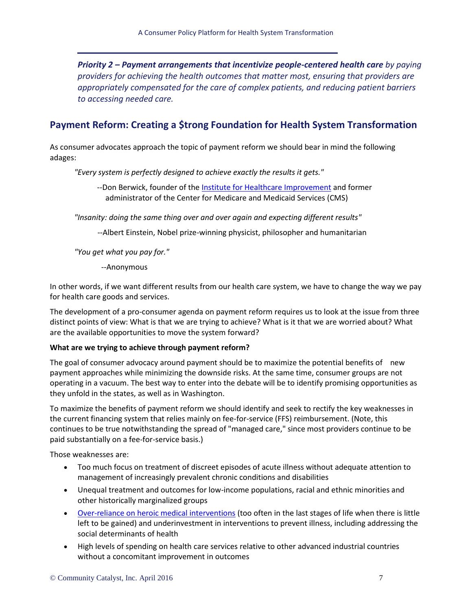*Priority 2 – Payment arrangements that incentivize people-centered health care by paying providers for achieving the health outcomes that matter most, ensuring that providers are appropriately compensated for the care of complex patients, and reducing patient barriers to accessing needed care.*

## **Payment Reform: Creating a \$trong Foundation for Health System Transformation**

As consumer advocates approach the topic of payment reform we should bear in mind the following adages:

*"Every system is perfectly designed to achieve exactly the results it gets."*

--Don Berwick, founder of th[e Institute for Healthcare Improvement](http://www.ihi.org/about/pages/history.aspx) and former administrator of the Center for Medicare and Medicaid Services (CMS)

*"Insanity: doing the same thing over and over again and expecting different results"*

--Albert Einstein, Nobel prize-winning physicist, philosopher and humanitarian

*"You get what you pay for."*

--Anonymous

In other words, if we want different results from our health care system, we have to change the way we pay for health care goods and services.

The development of a pro-consumer agenda on payment reform requires us to look at the issue from three distinct points of view: What is that we are trying to achieve? What is it that we are worried about? What are the available opportunities to move the system forward?

#### **What are we trying to achieve through payment reform?**

The goal of consumer advocacy around payment should be to maximize the potential benefits of new payment approaches while minimizing the downside risks. At the same time, consumer groups are not operating in a vacuum. The best way to enter into the debate will be to identify promising opportunities as they unfold in the states, as well as in Washington.

To maximize the benefits of payment reform we should identify and seek to rectify the key weaknesses in the current financing system that relies mainly on fee-for-service (FFS) reimbursement. (Note, this continues to be true notwithstanding the spread of "managed care," since most providers continue to be paid substantially on a fee-for-service basis.)

Those weaknesses are:

- Too much focus on treatment of discreet episodes of acute illness without adequate attention to management of increasingly prevalent chronic conditions and disabilities
- Unequal treatment and outcomes for low-income populations, racial and ethnic minorities and other historically marginalized groups
- [Over-reliance on heroic medical interventions](http://www.communitycatalyst.org/initiatives-and-issues/initiatives/voices-for-better-health/dual-agenda-newsletter/the-dual-agenda-november-19-2015/eldercare-voices) (too often in the last stages of life when there is little left to be gained) and underinvestment in interventions to prevent illness, including addressing the social determinants of health
- High levels of spending on health care services relative to other advanced industrial countries without a concomitant improvement in outcomes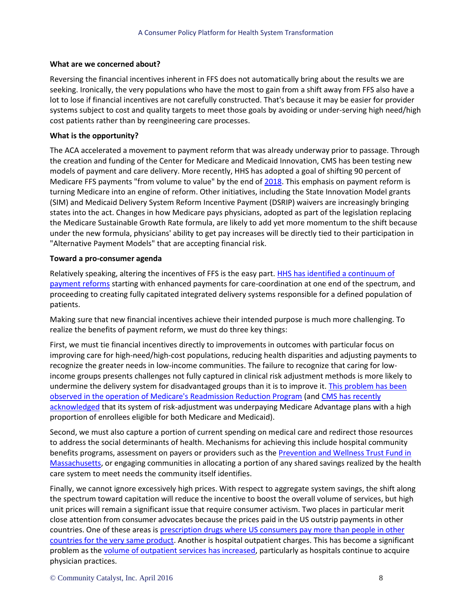#### **What are we concerned about?**

Reversing the financial incentives inherent in FFS does not automatically bring about the results we are seeking. Ironically, the very populations who have the most to gain from a shift away from FFS also have a lot to lose if financial incentives are not carefully constructed. That's because it may be easier for provider systems subject to cost and quality targets to meet those goals by avoiding or under-serving high need/high cost patients rather than by reengineering care processes.

#### **What is the opportunity?**

The ACA accelerated a movement to payment reform that was already underway prior to passage. Through the creation and funding of the Center for Medicare and Medicaid Innovation, CMS has been testing new models of payment and care delivery. More recently, HHS has adopted a goal of shifting 90 percent of Medicare FFS payments "from volume to value" by the end of [2018.](http://www.hhs.gov/about/news/2015/01/26/better-smarter-healthier-in-historic-announcement-hhs-sets-clear-goals-and-timeline-for-shifting-medicare-reimbursements-from-volume-to-value.html) This emphasis on payment reform is turning Medicare into an engine of reform. Other initiatives, including the State Innovation Model grants (SIM) and Medicaid Delivery System Reform Incentive Payment (DSRIP) waivers are increasingly bringing states into the act. Changes in how Medicare pays physicians, adopted as part of the legislation replacing the Medicare Sustainable Growth Rate formula, are likely to add yet more momentum to the shift because under the new formula, physicians' ability to get pay increases will be directly tied to their participation in "Alternative Payment Models" that are accepting financial risk.

#### **Toward a pro-consumer agenda**

Relatively speaking, altering the incentives of FFS is the easy part[. HHS has identified a continuum of](https://www.lansummit.org/wp-content/uploads/2015/09/01-00Total.pdf)  [payment reforms](https://www.lansummit.org/wp-content/uploads/2015/09/01-00Total.pdf) starting with enhanced payments for care-coordination at one end of the spectrum, and proceeding to creating fully capitated integrated delivery systems responsible for a defined population of patients.

Making sure that new financial incentives achieve their intended purpose is much more challenging. To realize the benefits of payment reform, we must do three key things:

First, we must tie financial incentives directly to improvements in outcomes with particular focus on improving care for high-need/high-cost populations, reducing health disparities and adjusting payments to recognize the greater needs in low-income communities. The failure to recognize that caring for lowincome groups presents challenges not fully captured in clinical risk adjustment methods is more likely to undermine the delivery system for disadvantaged groups than it is to improve it. [This problem has been](https://blogs.sph.harvard.edu/ashish-jha/changing-my-mind-on-ses-risk-adjustment/)  [observed in the operation of Medicare's Readmission Reduction Program](https://blogs.sph.harvard.edu/ashish-jha/changing-my-mind-on-ses-risk-adjustment/) (and [CMS has recently](https://www.cms.gov/Medicare/Health-Plans/MedicareAdvtgSpecRateStats/Downloads/RiskAdj2017ProposedChanges.pdf)  [acknowledged](https://www.cms.gov/Medicare/Health-Plans/MedicareAdvtgSpecRateStats/Downloads/RiskAdj2017ProposedChanges.pdf) that its system of risk-adjustment was underpaying Medicare Advantage plans with a high proportion of enrollees eligible for both Medicare and Medicaid).

Second, we must also capture a portion of current spending on medical care and redirect those resources to address the social determinants of health. Mechanisms for achieving this include hospital community benefits programs, assessment on payers or providers such as the Prevention and Wellness Trust Fund in [Massachusetts,](http://www.mass.gov/eohhs/gov/departments/dph/programs/community-health/prevention-and-wellness-fund/) or engaging communities in allocating a portion of any shared savings realized by the health care system to meet needs the community itself identifies.

Finally, we cannot ignore excessively high prices. With respect to aggregate system savings, the shift along the spectrum toward capitation will reduce the incentive to boost the overall volume of services, but high unit prices will remain a significant issue that require consumer activism. Two places in particular merit close attention from consumer advocates because the prices paid in the US outstrip payments in other countries. One of these areas i[s prescription drugs where US consumers pay more than people in other](http://www.cbsnews.com/news/higher-drug-prices-support-profits-not-research/)  [countries for the very same product.](http://www.cbsnews.com/news/higher-drug-prices-support-profits-not-research/) Another is hospital outpatient charges. This has become a significant problem as th[e volume of outpatient services has increased,](http://content.healthaffairs.org/content/33/5/756.abstract) particularly as hospitals continue to acquire physician practices.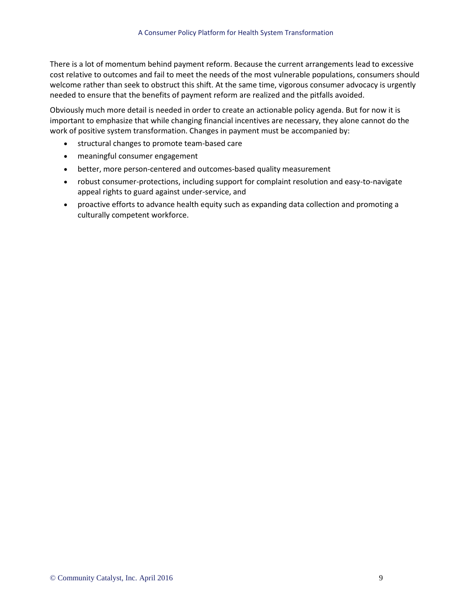There is a lot of momentum behind payment reform. Because the current arrangements lead to excessive cost relative to outcomes and fail to meet the needs of the most vulnerable populations, consumers should welcome rather than seek to obstruct this shift. At the same time, vigorous consumer advocacy is urgently needed to ensure that the benefits of payment reform are realized and the pitfalls avoided.

Obviously much more detail is needed in order to create an actionable policy agenda. But for now it is important to emphasize that while changing financial incentives are necessary, they alone cannot do the work of positive system transformation. Changes in payment must be accompanied by:

- structural changes to promote team-based care
- meaningful consumer engagement
- better, more person-centered and outcomes-based quality measurement
- robust consumer-protections, including support for complaint resolution and easy-to-navigate appeal rights to guard against under-service, and
- proactive efforts to advance health equity such as expanding data collection and promoting a culturally competent workforce.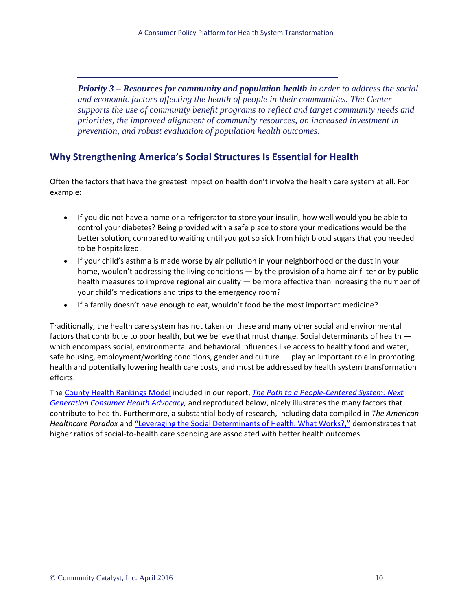*Priority 3 – Resources for community and population health in order to address the social and economic factors affecting the health of people in their communities. The Center supports the use of community benefit programs to reflect and target community needs and priorities, the improved alignment of community resources, an increased investment in prevention, and robust evaluation of population health outcomes.*

## **Why Strengthening America's Social Structures Is Essential for Health**

Often the factors that have the greatest impact on health don't involve the health care system at all. For example:

- If you did not have a home or a refrigerator to store your insulin, how well would you be able to control your diabetes? Being provided with a safe place to store your medications would be the better solution, compared to waiting until you got so sick from high blood sugars that you needed to be hospitalized.
- If your child's asthma is made worse by air pollution in your neighborhood or the dust in your home, wouldn't addressing the living conditions — by the provision of a home air filter or by public health measures to improve regional air quality — be more effective than increasing the number of your child's medications and trips to the emergency room?
- If a family doesn't have enough to eat, wouldn't food be the most important medicine?

Traditionally, the health care system has not taken on these and many other social and environmental factors that contribute to poor health, but we believe that must change. Social determinants of health which encompass social, environmental and behavioral influences like access to healthy food and water, safe housing, employment/working conditions, gender and culture — play an important role in promoting health and potentially lowering health care costs, and must be addressed by health system transformation efforts.

The [County Health Rankings Model](http://www.countyhealthrankings.org/our-approach) included in our report, *[The Path to a People-Centered System: Next](http://www.communitycatalyst.org/resources/publications/the-path-to-a-people-centered-health-system-next-generation-consumer-health-advocacy)  [Generation Consumer Health Advocacy,](http://www.communitycatalyst.org/resources/publications/the-path-to-a-people-centered-health-system-next-generation-consumer-health-advocacy)* and reproduced below, nicely illustrates the many factors that contribute to health. Furthermore, a substantial body of research, including data compiled in *The American Healthcare Paradox* and ["Leveraging the Social Determinants of Health: What Works?,"](http://www.bluecrossfoundation.org/sites/default/files/download/publication/Social_Equity_Report_Final.pdf) demonstrates that higher ratios of social-to-health care spending are associated with better health outcomes.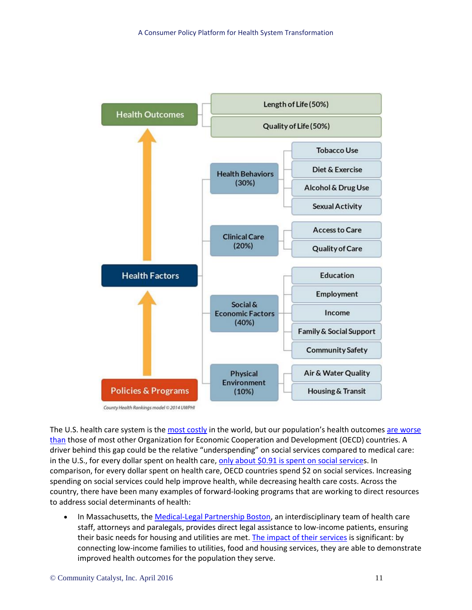

County Health Rankings model @ 2014 UWPHI

The U.S. health care system is th[e most costly](http://www.commonwealthfund.org/publications/fund-reports/2014/jun/mirror-mirror) in the world, but our population's health outcomes are worse [than](http://www.commonwealthfund.org/publications/fund-reports/2014/jun/mirror-mirror) those of most other Organization for Economic Cooperation and Development (OECD) countries. A driver behind this gap could be the relative "underspending" on social services compared to medical care: in the U.S., for every dollar spent on health care, [only about \\$0.91 is spent on social services](http://ghli.yale.edu/sites/default/files/imce/bmjqs.2010.048363.full_.pdf). In comparison, for every dollar spent on health care, OECD countries spend \$2 on social services. Increasing spending on social services could help improve health, while decreasing health care costs. Across the country, there have been many examples of forward-looking programs that are working to direct resources to address social determinants of health:

In Massachusetts, th[e Medical-Legal Partnership Boston,](http://www.mlpboston.org/) an interdisciplinary team of health care staff, attorneys and paralegals, provides direct legal assistance to low-income patients, ensuring their basic needs for housing and utilities are met. [The impact of their services](http://www.mlpboston.org/results/mlp-boston-publications) is significant: by connecting low-income families to utilities, food and housing services, they are able to demonstrate improved health outcomes for the population they serve.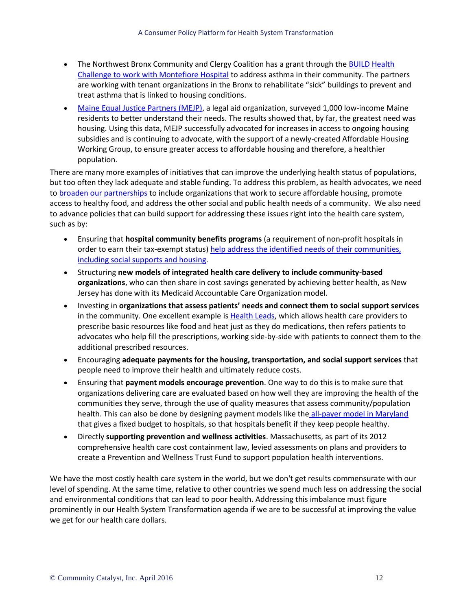- The Northwest Bronx Community and Clergy Coalition has a grant through the BUILD Health [Challenge to work with Montefiore Hospital](http://www.montefiore.org/body.cfm?id=1738&action=detail&ref=1236) to address asthma in their community. The partners are working with tenant organizations in the Bronx to rehabilitate "sick" buildings to prevent and treat asthma that is linked to housing conditions.
- [Maine Equal Justice Partners \(MEJP\),](http://www.mejp.org/) a legal aid organization, surveyed 1,000 low-income Maine residents to better understand their needs. The results showed that, by far, the greatest need was housing. Using this data, MEJP successfully advocated for increases in access to ongoing housing subsidies and is continuing to advocate, with the support of a newly-created Affordable Housing Working Group, to ensure greater access to affordable housing and therefore, a healthier population.

There are many more examples of initiatives that can improve the underlying health status of populations, but too often they lack adequate and stable funding. To address this problem, as health advocates, we need to [broaden our partnerships](https://www.hcfama.org/coalition/healthy-food-healthy-homes-healthy-children) to include organizations that work to secure affordable housing, promote access to healthy food, and address the other social and public health needs of a community. We also need to advance policies that can build support for addressing these issues right into the health care system, such as by:

- Ensuring that **hospital community benefits programs** (a requirement of non-profit hospitals in order to earn their tax-exempt status) [help address the identified needs of their communities,](http://healthaffairs.org/blog/2016/01/08/expanding-the-meaning-of-community-health-improvement-under-tax-exempt-hospital-policy/)  [including social supports and housing.](http://healthaffairs.org/blog/2016/01/08/expanding-the-meaning-of-community-health-improvement-under-tax-exempt-hospital-policy/)
- Structuring **new models of integrated health care delivery to include community-based organizations**, who can then share in cost savings generated by achieving better health, as New Jersey has done with its Medicaid Accountable Care Organization model.
- Investing in **organizations that assess patients' needs and connect them to social support services** in the community. One excellent example is [Health Leads,](https://healthleadsusa.org/) which allows health care providers to prescribe basic resources like food and heat just as they do medications, then refers patients to advocates who help fill the prescriptions, working side-by-side with patients to connect them to the additional prescribed resources.
- Encouraging **adequate payments for the housing, transportation, and social support services** that people need to improve their health and ultimately reduce costs.
- Ensuring that **payment models encourage prevention**. One way to do this is to make sure that organizations delivering care are evaluated based on how well they are improving the health of the communities they serve, through the use of quality measures that assess community/population health. This can also be done by designing payment models like the [all-payer model in Maryland](https://innovation.cms.gov/initiatives/Maryland-All-Payer-Model/) that gives a fixed budget to hospitals, so that hospitals benefit if they keep people healthy.
- Directly **supporting prevention and wellness activities**. Massachusetts, as part of its 2012 comprehensive health care cost containment law, levied assessments on plans and providers to create a Prevention and Wellness Trust Fund to support population health interventions.

We have the most costly health care system in the world, but we don't get results commensurate with our level of spending. At the same time, relative to other countries we spend much less on addressing the social and environmental conditions that can lead to poor health. Addressing this imbalance must figure prominently in our Health System Transformation agenda if we are to be successful at improving the value we get for our health care dollars.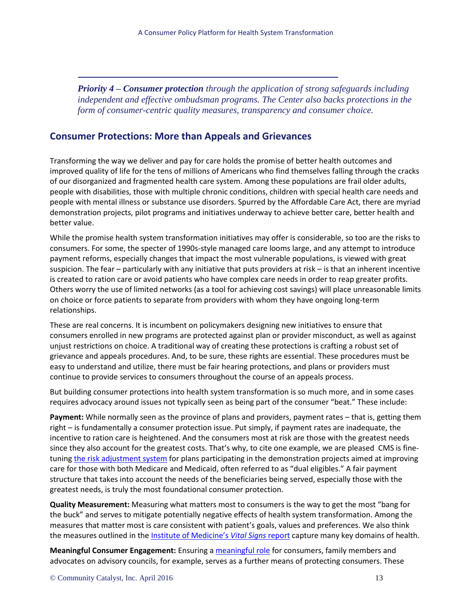*Priority 4 – Consumer protection through the application of strong safeguards including independent and effective ombudsman programs. The Center also backs protections in the form of consumer-centric quality measures, transparency and consumer choice.* 

### **Consumer Protections: More than Appeals and Grievances**

Transforming the way we deliver and pay for care holds the promise of better health outcomes and improved quality of life for the tens of millions of Americans who find themselves falling through the cracks of our disorganized and fragmented health care system. Among these populations are frail older adults, people with disabilities, those with multiple chronic conditions, children with special health care needs and people with mental illness or substance use disorders. Spurred by the Affordable Care Act, there are myriad demonstration projects, pilot programs and initiatives underway to achieve better care, better health and better value.

While the promise health system transformation initiatives may offer is considerable, so too are the risks to consumers. For some, the specter of 1990s-style managed care looms large, and any attempt to introduce payment reforms, especially changes that impact the most vulnerable populations, is viewed with great suspicion. The fear – particularly with any initiative that puts providers at risk – is that an inherent incentive is created to ration care or avoid patients who have complex care needs in order to reap greater profits. Others worry the use of limited networks (as a tool for achieving cost savings) will place unreasonable limits on choice or force patients to separate from providers with whom they have ongoing long-term relationships.

These are real concerns. It is incumbent on policymakers designing new initiatives to ensure that consumers enrolled in new programs are protected against plan or provider misconduct, as well as against unjust restrictions on choice. A traditional way of creating these protections is crafting a robust set of grievance and appeals procedures. And, to be sure, these rights are essential. These procedures must be easy to understand and utilize, there must be fair hearing protections, and plans or providers must continue to provide services to consumers throughout the course of an appeals process.

But building consumer protections into health system transformation is so much more, and in some cases requires advocacy around issues not typically seen as being part of the consumer "beat." These include:

**Payment:** While normally seen as the province of plans and providers, payment rates – that is, getting them right – is fundamentally a consumer protection issue. Put simply, if payment rates are inadequate, the incentive to ration care is heightened. And the consumers most at risk are those with the greatest needs since they also account for the greatest costs. That's why, to cite one example, we are pleased CMS is finetuning [the risk adjustment system](http://www.communitycatalyst.org/resources/publications/document/CY16-MMP-Medicare-Payment-Update.pdf) for plans participating in the demonstration projects aimed at improving care for those with both Medicare and Medicaid, often referred to as "dual eligibles." A fair payment structure that takes into account the needs of the beneficiaries being served, especially those with the greatest needs, is truly the most foundational consumer protection.

**Quality Measurement:** Measuring what matters most to consumers is the way to get the most "bang for the buck" and serves to mitigate potentially negative effects of health system transformation. Among the measures that matter most is care consistent with patient's goals, values and preferences. We also think the measures outlined in the [Institute of Medicine's](http://iom.nationalacademies.org/~/media/Files/Report%20Files/2015/Vital_Signs/VitalSigns_RB.pdf) *Vital Signs* report capture many key domains of health.

**Meaningful Consumer Engagement:** Ensuring [a meaningful role](http://www.communitycatalyst.org/resources/tools/meaningful-consumer-engagement) for consumers, family members and advocates on advisory councils, for example, serves as a further means of protecting consumers. These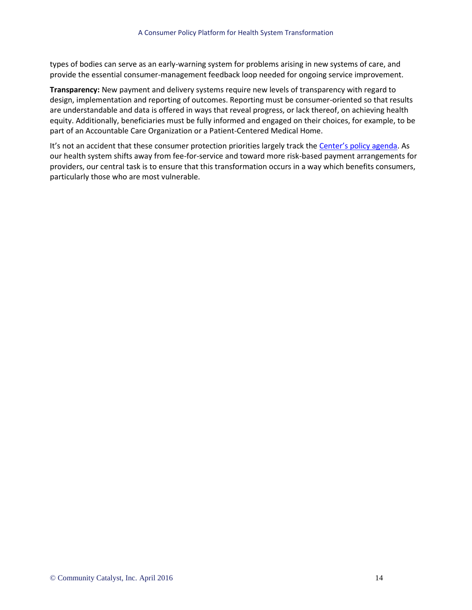types of bodies can serve as an early-warning system for problems arising in new systems of care, and provide the essential consumer-management feedback loop needed for ongoing service improvement.

**Transparency:** New payment and delivery systems require new levels of transparency with regard to design, implementation and reporting of outcomes. Reporting must be consumer-oriented so that results are understandable and data is offered in ways that reveal progress, or lack thereof, on achieving health equity. Additionally, beneficiaries must be fully informed and engaged on their choices, for example, to be part of an Accountable Care Organization or a Patient-Centered Medical Home.

It's not an accident that these consumer protection priorities largely track the [Center's policy agenda](http://www.communitycatalyst.org/initiatives-and-issues/initiatives/center-for-consumer-engagement-in-health-innovation/CCEHI-Policy-Priorities-updated-2.2.16.pdf). As our health system shifts away from fee-for-service and toward more risk-based payment arrangements for providers, our central task is to ensure that this transformation occurs in a way which benefits consumers, particularly those who are most vulnerable.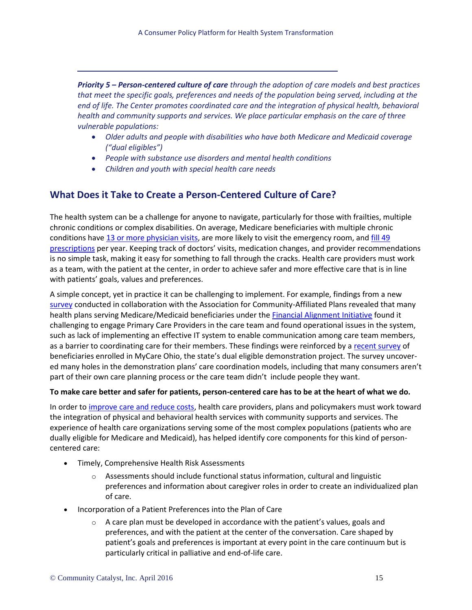*Priority 5 – Person-centered culture of care through the adoption of care models and best practices that meet the specific goals, preferences and needs of the population being served, including at the end of life. The Center promotes coordinated care and the integration of physical health, behavioral health and community supports and services. We place particular emphasis on the care of three vulnerable populations:*

- *Older adults and people with disabilities who have both Medicare and Medicaid coverage ("dual eligibles")*
- *People with substance use disorders and mental health conditions*
- *Children and youth with special health care needs*

## **What Does it Take to Create a Person-Centered Culture of Care?**

The health system can be a challenge for anyone to navigate, particularly for those with frailties, multiple chronic conditions or complex disabilities. On average, Medicare beneficiaries with multiple chronic conditions have [13 or more physician visits,](https://www.cms.gov/research-statistics-data-and-systems/statistics-trends-and-reports/chronic-conditions/downloads/2012chartbook.pdf) are more likely to visit the emergency room, an[d fill 49](http://www.dartmouthatlas.org/downloads/reports/Prescription_Drug_Atlas_101513.pdf)  [prescriptions](http://www.dartmouthatlas.org/downloads/reports/Prescription_Drug_Atlas_101513.pdf) per year. Keeping track of doctors' visits, medication changes, and provider recommendations is no simple task, making it easy for something to fall through the cracks. Health care providers must work as a team, with the patient at the center, in order to achieve safer and more effective care that is in line with patients' goals, values and preferences.

A simple concept, yet in practice it can be challenging to implement. For example, findings from a new [survey](http://www.communitycatalyst.org/resources/publications/document/Key-Findings-from-Survey-of-ACAP-Plans-on-Duals-Demonstrations.pdf) conducted in collaboration with the Association for Community-Affiliated Plans revealed that many health plans serving Medicare/Medicaid beneficiaries under the [Financial Alignment Initiative](https://www.cms.gov/Medicare-Medicaid-Coordination/Medicare-and-Medicaid-Coordination/Medicare-Medicaid-Coordination-Office/FinancialAlignmentInitiative/FinancialModelstoSupportStatesEffortsinCareCoordination.html) found it challenging to engage Primary Care Providers in the care team and found operational issues in the system, such as lack of implementing an effective IT system to enable communication among care team members, as a barrier to coordinating care for their members. These findings were reinforced by a [recent survey](http://www.uhcanohio.org/content/bringing-consumers%E2%80%99-experiences-advocacy-first-look-member-experiences-mycare-ohio) of beneficiaries enrolled in MyCare Ohio, the state's dual eligible demonstration project. The survey uncovered many holes in the demonstration plans' care coordination models, including that many consumers aren't part of their own care planning process or the care team didn't include people they want.

#### **To make care better and safer for patients, person-centered care has to be at the heart of what we do.**

In order to [improve care and reduce costs,](http://www.mercer.us/content/dam/mercer/attachments/north-america/us/Revised_Mercer_H_B_Integrated_Care_Management_in_the_Medicare_Supplement.pdf) health care providers, plans and policymakers must work toward the integration of physical and behavioral health services with community supports and services. The experience of health care organizations serving some of the most complex populations (patients who are dually eligible for Medicare and Medicaid), has helped identify core components for this kind of personcentered care:

- Timely, Comprehensive Health Risk Assessments
	- $\circ$  Assessments should include functional status information, cultural and linguistic preferences and information about caregiver roles in order to create an individualized plan of care.
- Incorporation of a Patient Preferences into the Plan of Care
	- $\circ$  A care plan must be developed in accordance with the patient's values, goals and preferences, and with the patient at the center of the conversation. Care shaped by patient's goals and preferences is important at every point in the care continuum but is particularly critical in palliative and end-of-life care.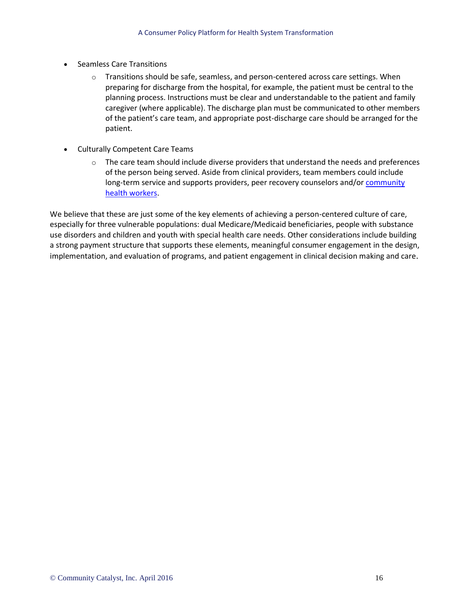- Seamless Care Transitions
	- Transitions should be safe, seamless, and person-centered across care settings. When preparing for discharge from the hospital, for example, the patient must be central to the planning process. Instructions must be clear and understandable to the patient and family caregiver (where applicable). The discharge plan must be communicated to other members of the patient's care team, and appropriate post-discharge care should be arranged for the patient.
- Culturally Competent Care Teams
	- $\circ$  The care team should include diverse providers that understand the needs and preferences of the person being served. Aside from clinical providers, team members could include long-term service and supports providers, peer recovery counselors and/o[r community](http://www.communitycatalyst.org/resources/publications/document/Community-Catalyst-CHW-Issue-Brief-1.pdf)  [health workers.](http://www.communitycatalyst.org/resources/publications/document/Community-Catalyst-CHW-Issue-Brief-1.pdf)

We believe that these are just some of the key elements of achieving a person-centered culture of care, especially for three vulnerable populations: dual Medicare/Medicaid beneficiaries, people with substance use disorders and children and youth with special health care needs. Other considerations include building a strong payment structure that supports these elements, meaningful consumer engagement in the design, implementation, and evaluation of programs, and patient engagement in clinical decision making and care.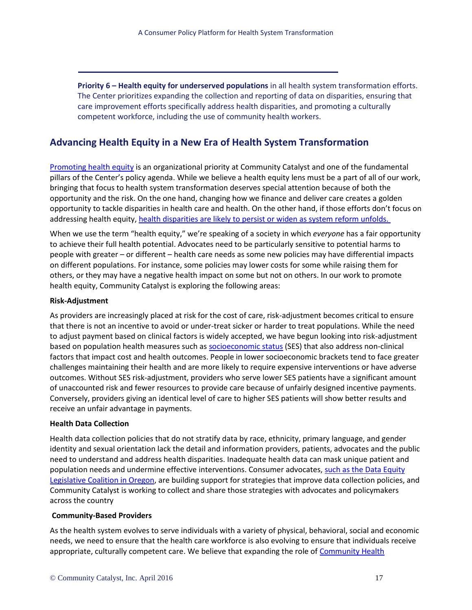**Priority 6 – Health equity for underserved populations** in all health system transformation efforts. The Center prioritizes expanding the collection and reporting of data on disparities, ensuring that care improvement efforts specifically address health disparities, and promoting a culturally competent workforce, including the use of community health workers.

## **Advancing Health Equity in a New Era of Health System Transformation**

[Promoting health equity](http://www.communitycatalyst.org/initiatives-and-issues/issues/health-equity) is an organizational priority at Community Catalyst and one of the fundamental pillars of the Center's policy agenda. While we believe a health equity lens must be a part of all of our work, bringing that focus to health system transformation deserves special attention because of both the opportunity and the risk. On the one hand, changing how we finance and deliver care creates a golden opportunity to tackle disparities in health care and health. On the other hand, if those efforts don't focus on addressing health equity, [health disparities are likely to persist or widen as system reform unfolds.](http://www.communitycatalyst.org/resources/publications/document/Policy-Brief-Demographic-Health-Disparities-Final.pdf) 

When we use the term "health equity," we're speaking of a society in which *everyone* has a fair opportunity to achieve their full health potential. Advocates need to be particularly sensitive to potential harms to people with greater – or different – health care needs as some new policies may have differential impacts on different populations. For instance, some policies may lower costs for some while raising them for others, or they may have a negative health impact on some but not on others. In our work to promote health equity, Community Catalyst is exploring the following areas:

#### **Risk-Adjustment**

As providers are increasingly placed at risk for the cost of care, risk-adjustment becomes critical to ensure that there is not an incentive to avoid or under-treat sicker or harder to treat populations. While the need to adjust payment based on clinical factors is widely accepted, we have begun looking into risk-adjustment based on population health measures such as [socioeconomic status](http://www.communitycatalyst.org/resources/publications/document/Policy-Brief-Demographic-Health-Disparities-Final.pdf) (SES) that also address non-clinical factors that impact cost and health outcomes. People in lower socioeconomic brackets tend to face greater challenges maintaining their health and are more likely to require expensive interventions or have adverse outcomes. Without SES risk-adjustment, providers who serve lower SES patients have a significant amount of unaccounted risk and fewer resources to provide care because of unfairly designed incentive payments. Conversely, providers giving an identical level of care to higher SES patients will show better results and receive an unfair advantage in payments.

#### **Health Data Collection**

Health data collection policies that do not stratify data by race, ethnicity, primary language, and gender identity and sexual orientation lack the detail and information providers, patients, advocates and the public need to understand and address health disparities. Inadequate health data can mask unique patient and population needs and undermine effective interventions. Consumer advocates, such as the Data Equity [Legislative Coalition in Oregon,](http://www.communitycatalyst.org/blog/the-numbers-dont-lie-advancing-health-equity-in-oregon-through-better-data-collection#.VlyWZL868ZN) are building support for strategies that improve data collection policies, and Community Catalyst is working to collect and share those strategies with advocates and policymakers across the country

#### **Community-Based Providers**

As the health system evolves to serve individuals with a variety of physical, behavioral, social and economic needs, we need to ensure that the health care workforce is also evolving to ensure that individuals receive appropriate, culturally competent care. We believe that expanding the role o[f Community Health](http://www.communitycatalyst.org/resources/publications/document/Community-Catalyst-CHW-Issue-Brief.pdf)